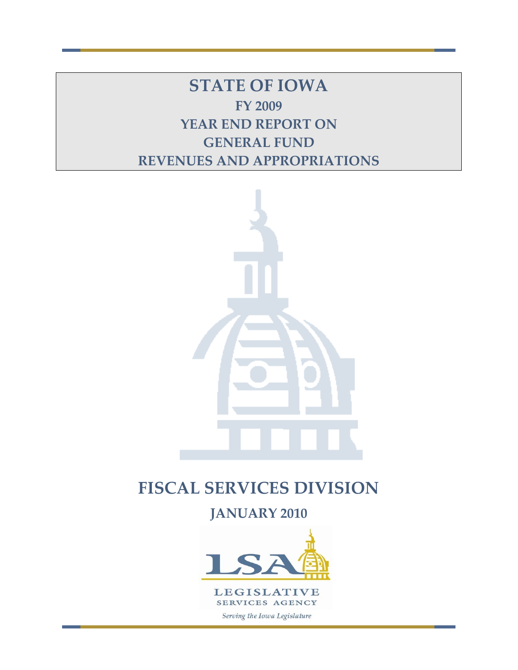**STATE OF IOWA FY 2009 YEAR END REPORT ON GENERAL FUND REVENUES AND APPROPRIATIONS**



# **FISCAL SERVICES DIVISION**

**JANUARY 2010** 

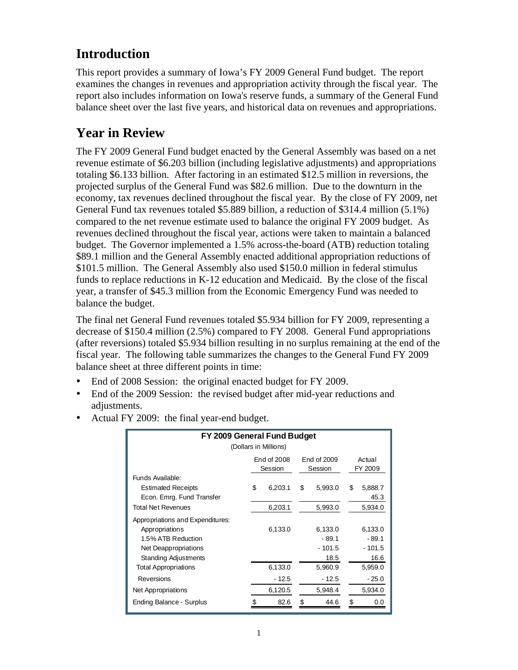# **Introduction**

This report provides a summary of Iowa's FY 2009 General Fund budget. The report examines the changes in revenues and appropriation activity through the fiscal year. The report also includes information on Iowa's reserve funds, a summary of the General Fund balance sheet over the last five years, and historical data on revenues and appropriations.

# **Year in Review**

The FY 2009 General Fund budget enacted by the General Assembly was based on a net revenue estimate of \$6.203 billion (including legislative adjustments) and appropriations totaling \$6.133 billion. After factoring in an estimated \$12.5 million in reversions, the projected surplus of the General Fund was \$82.6 million. Due to the downturn in the economy, tax revenues declined throughout the fiscal year. By the close of FY 2009, net General Fund tax revenues totaled \$5.889 billion, a reduction of \$314.4 million (5.1%) compared to the net revenue estimate used to balance the original FY 2009 budget. As revenues declined throughout the fiscal year, actions were taken to maintain a balanced budget. The Governor implemented a 1.5% across-the-board (ATB) reduction totaling \$89.1 million and the General Assembly enacted additional appropriation reductions of \$101.5 million. The General Assembly also used \$150.0 million in federal stimulus funds to replace reductions in K-12 education and Medicaid. By the close of the fiscal year, a transfer of \$45.3 million from the Economic Emergency Fund was needed to balance the budget.

The final net General Fund revenues totaled \$5.934 billion for FY 2009, representing a decrease of \$150.4 million (2.5%) compared to FY 2008. General Fund appropriations (after reversions) totaled \$5.934 billion resulting in no surplus remaining at the end of the fiscal year. The following table summarizes the changes to the General Fund FY 2009 balance sheet at three different points in time:

- End of 2008 Session: the original enacted budget for FY 2009.
- End of the 2009 Session: the revised budget after mid-year reductions and adjustments.

| FY 2009 General Fund Budget<br>(Dollars in Millions)                               |                                                                       |         |    |                             |    |                             |  |
|------------------------------------------------------------------------------------|-----------------------------------------------------------------------|---------|----|-----------------------------|----|-----------------------------|--|
|                                                                                    | End of 2008<br>End of 2009<br>Actual<br>FY 2009<br>Session<br>Session |         |    |                             |    |                             |  |
| Funds Available:<br><b>Estimated Receipts</b><br>Econ. Emrg. Fund Transfer         | \$                                                                    | 6,203.1 | \$ | 5,993.0                     | \$ | 5,888.7<br>45.3             |  |
| <b>Total Net Revenues</b>                                                          |                                                                       | 6,203.1 |    | 5,993.0                     |    | 5,934.0                     |  |
| Appropriations and Expenditures:<br>Appropriations<br>1.5% ATB Reduction           |                                                                       | 6,133.0 |    | 6,133.0<br>$-89.1$          |    | 6,133.0<br>$-89.1$          |  |
| Net Deappropriations<br><b>Standing Adjustments</b><br><b>Total Appropriations</b> |                                                                       | 6,133.0 |    | $-101.5$<br>18.5<br>5,960.9 |    | $-101.5$<br>16.6<br>5,959.0 |  |
| <b>Reversions</b>                                                                  |                                                                       | - 12.5  |    | $-12.5$                     |    | $-25.0$                     |  |
| Net Appropriations                                                                 |                                                                       | 6,120.5 |    | 5,948.4                     |    | 5,934.0                     |  |
| Ending Balance - Surplus                                                           |                                                                       | 82.6    | \$ | 44.6                        |    | 0.0                         |  |

• Actual FY 2009: the final year-end budget.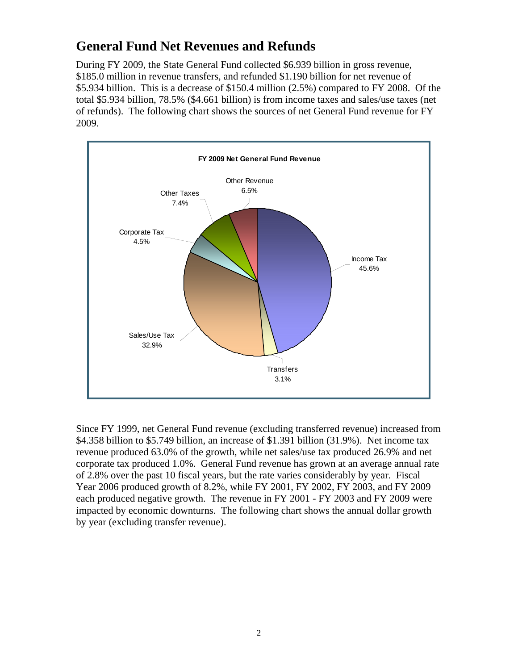## **General Fund Net Revenues and Refunds**

During FY 2009, the State General Fund collected \$6.939 billion in gross revenue, \$185.0 million in revenue transfers, and refunded \$1.190 billion for net revenue of \$5.934 billion. This is a decrease of \$150.4 million (2.5%) compared to FY 2008. Of the total \$5.934 billion, 78.5% (\$4.661 billion) is from income taxes and sales/use taxes (net of refunds). The following chart shows the sources of net General Fund revenue for FY 2009.



Since FY 1999, net General Fund revenue (excluding transferred revenue) increased from \$4.358 billion to \$5.749 billion, an increase of \$1.391 billion (31.9%). Net income tax revenue produced 63.0% of the growth, while net sales/use tax produced 26.9% and net corporate tax produced 1.0%. General Fund revenue has grown at an average annual rate of 2.8% over the past 10 fiscal years, but the rate varies considerably by year. Fiscal Year 2006 produced growth of 8.2%, while FY 2001, FY 2002, FY 2003, and FY 2009 each produced negative growth. The revenue in FY 2001 - FY 2003 and FY 2009 were impacted by economic downturns. The following chart shows the annual dollar growth by year (excluding transfer revenue).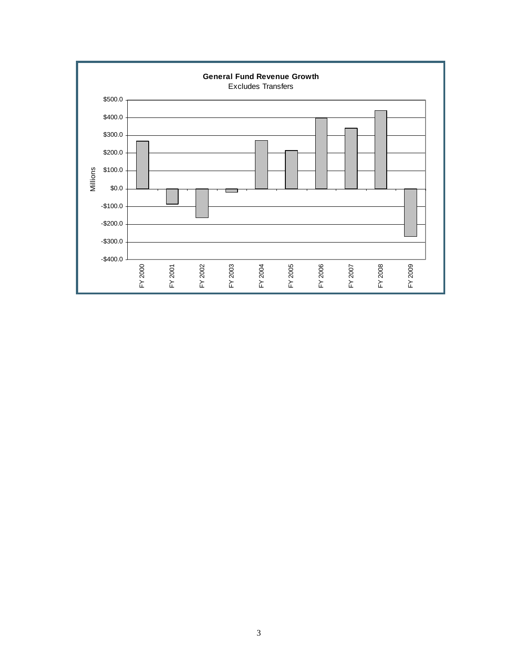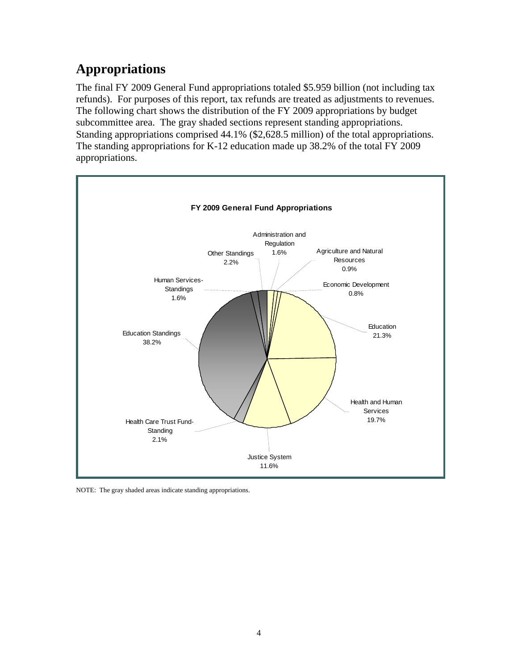# **Appropriations**

The final FY 2009 General Fund appropriations totaled \$5.959 billion (not including tax refunds). For purposes of this report, tax refunds are treated as adjustments to revenues. The following chart shows the distribution of the FY 2009 appropriations by budget subcommittee area. The gray shaded sections represent standing appropriations. Standing appropriations comprised 44.1% (\$2,628.5 million) of the total appropriations. The standing appropriations for K-12 education made up 38.2% of the total FY 2009 appropriations.



NOTE: The gray shaded areas indicate standing appropriations.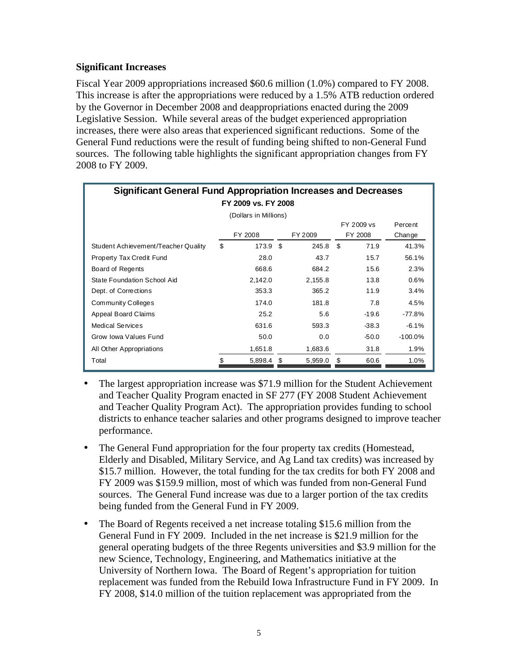#### **Significant Increases**

Fiscal Year 2009 appropriations increased \$60.6 million (1.0%) compared to FY 2008. This increase is after the appropriations were reduced by a 1.5% ATB reduction ordered by the Governor in December 2008 and deappropriations enacted during the 2009 Legislative Session. While several areas of the budget experienced appropriation increases, there were also areas that experienced significant reductions. Some of the General Fund reductions were the result of funding being shifted to non-General Fund sources. The following table highlights the significant appropriation changes from FY 2008 to FY 2009.

| <b>Significant General Fund Appropriation Increases and Decreases</b> |                       |          |   |         |      |         |           |  |
|-----------------------------------------------------------------------|-----------------------|----------|---|---------|------|---------|-----------|--|
| FY 2009 vs. FY 2008                                                   |                       |          |   |         |      |         |           |  |
| (Dollars in Millions)                                                 |                       |          |   |         |      |         |           |  |
|                                                                       | FY 2009 vs<br>Percent |          |   |         |      |         |           |  |
|                                                                       |                       | FY 2008  |   | FY 2009 |      | FY 2008 | Change    |  |
| Student Achievement/Teacher Quality                                   | \$                    | 173.9 \$ |   | 245.8   | - \$ | 71.9    | 41.3%     |  |
| Property Tax Credit Fund                                              |                       | 28.0     |   | 43.7    |      | 15.7    | 56.1%     |  |
| Board of Regents                                                      |                       | 668.6    |   | 684.2   |      | 15.6    | 2.3%      |  |
| State Foundation School Aid                                           |                       | 2,142.0  |   | 2,155.8 |      | 13.8    | 0.6%      |  |
| Dept. of Corrections                                                  |                       | 353.3    |   | 365.2   |      | 11.9    | 3.4%      |  |
| Community Colleges                                                    |                       | 174.0    |   | 181.8   |      | 7.8     | 4.5%      |  |
| Appeal Board Claims                                                   |                       | 25.2     |   | 5.6     |      | $-19.6$ | $-77.8%$  |  |
| <b>Medical Services</b>                                               |                       | 631.6    |   | 593.3   |      | $-38.3$ | $-6.1%$   |  |
| Grow Iowa Values Fund                                                 |                       | 50.0     |   | 0.0     |      | $-50.0$ | $-100.0%$ |  |
| All Other Appropriations                                              |                       | 1,651.8  |   | 1,683.6 |      | 31.8    | 1.9%      |  |
| Total                                                                 | \$                    | 5,898.4  | S | 5,959.0 | \$   | 60.6    | 1.0%      |  |

- The largest appropriation increase was \$71.9 million for the Student Achievement and Teacher Quality Program enacted in SF 277 (FY 2008 Student Achievement and Teacher Quality Program Act). The appropriation provides funding to school districts to enhance teacher salaries and other programs designed to improve teacher performance.
- The General Fund appropriation for the four property tax credits (Homestead, Elderly and Disabled, Military Service, and Ag Land tax credits) was increased by \$15.7 million. However, the total funding for the tax credits for both FY 2008 and FY 2009 was \$159.9 million, most of which was funded from non-General Fund sources. The General Fund increase was due to a larger portion of the tax credits being funded from the General Fund in FY 2009.
- The Board of Regents received a net increase totaling \$15.6 million from the General Fund in FY 2009. Included in the net increase is \$21.9 million for the general operating budgets of the three Regents universities and \$3.9 million for the new Science, Technology, Engineering, and Mathematics initiative at the University of Northern Iowa. The Board of Regent's appropriation for tuition replacement was funded from the Rebuild Iowa Infrastructure Fund in FY 2009. In FY 2008, \$14.0 million of the tuition replacement was appropriated from the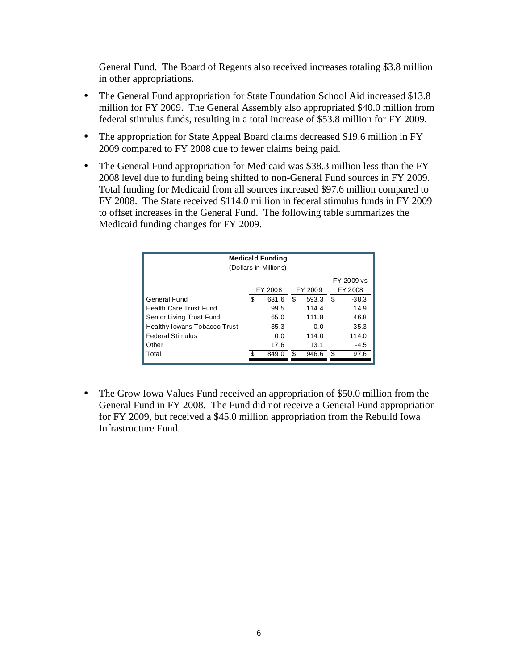General Fund. The Board of Regents also received increases totaling \$3.8 million in other appropriations.

- The General Fund appropriation for State Foundation School Aid increased \$13.8 million for FY 2009. The General Assembly also appropriated \$40.0 million from federal stimulus funds, resulting in a total increase of \$53.8 million for FY 2009.
- The appropriation for State Appeal Board claims decreased \$19.6 million in FY 2009 compared to FY 2008 due to fewer claims being paid.
- The General Fund appropriation for Medicaid was \$38.3 million less than the FY 2008 level due to funding being shifted to non-General Fund sources in FY 2009. Total funding for Medicaid from all sources increased \$97.6 million compared to FY 2008. The State received \$114.0 million in federal stimulus funds in FY 2009 to offset increases in the General Fund. The following table summarizes the Medicaid funding changes for FY 2009.

| <b>Medicald Funding</b><br>(Dollars in Millions) |    |       |    |       |    |         |
|--------------------------------------------------|----|-------|----|-------|----|---------|
| FY 2009 vs                                       |    |       |    |       |    |         |
| FY 2008<br>FY 2009<br>FY 2008                    |    |       |    |       |    |         |
| General Fund                                     | \$ | 631.6 | \$ | 593.3 | \$ | $-38.3$ |
| <b>Health Care Trust Fund</b>                    |    | 99.5  |    | 114.4 |    | 14.9    |
| Senior Living Trust Fund<br>65.0                 |    |       |    | 111.8 |    | 46.8    |
| Healthy Iowans Tobacco Trust                     |    | 35.3  |    | 0.0   |    | $-35.3$ |
| Federal Stimulus                                 |    | 0.0   |    | 114.0 |    | 114.0   |
| Other                                            |    | 17.6  |    | 13.1  |    | $-4.5$  |
| Total                                            |    | 849.0 | .ፍ | 946.6 | ደ  | 97.6    |

 The Grow Iowa Values Fund received an appropriation of \$50.0 million from the General Fund in FY 2008. The Fund did not receive a General Fund appropriation for FY 2009, but received a \$45.0 million appropriation from the Rebuild Iowa Infrastructure Fund.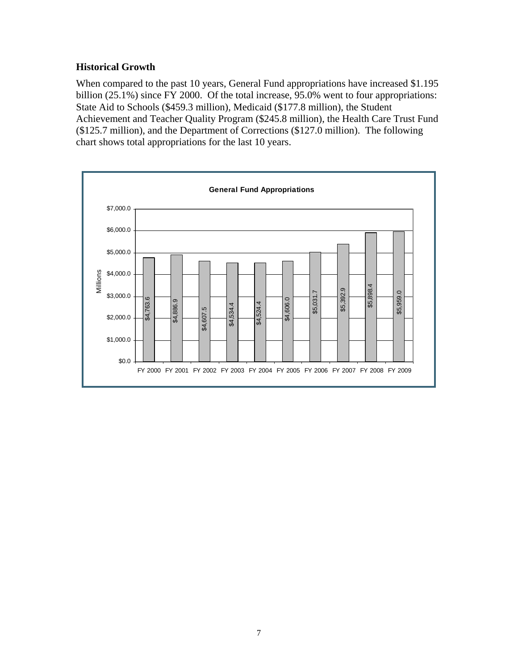### **Historical Growth**

When compared to the past 10 years, General Fund appropriations have increased \$1.195 billion (25.1%) since FY 2000. Of the total increase, 95.0% went to four appropriations: State Aid to Schools (\$459.3 million), Medicaid (\$177.8 million), the Student Achievement and Teacher Quality Program (\$245.8 million), the Health Care Trust Fund (\$125.7 million), and the Department of Corrections (\$127.0 million). The following chart shows total appropriations for the last 10 years.

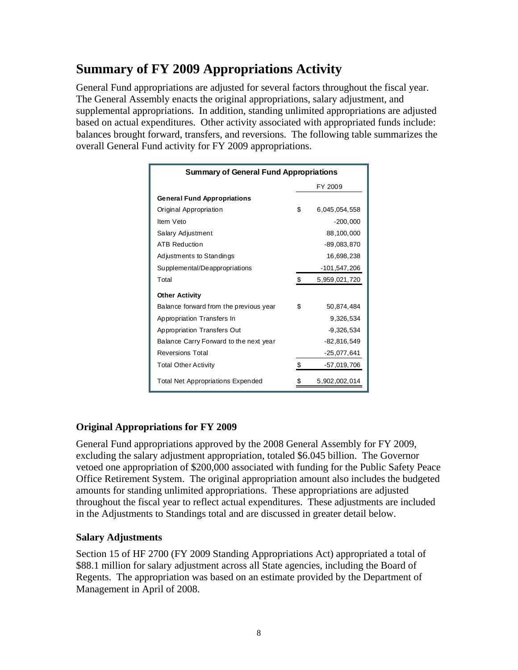# **Summary of FY 2009 Appropriations Activity**

General Fund appropriations are adjusted for several factors throughout the fiscal year. The General Assembly enacts the original appropriations, salary adjustment, and supplemental appropriations. In addition, standing unlimited appropriations are adjusted based on actual expenditures. Other activity associated with appropriated funds include: balances brought forward, transfers, and reversions. The following table summarizes the overall General Fund activity for FY 2009 appropriations.

| <b>Summary of General Fund Appropriations</b> |    |               |  |  |  |
|-----------------------------------------------|----|---------------|--|--|--|
|                                               |    | FY 2009       |  |  |  |
| <b>General Fund Appropriations</b>            |    |               |  |  |  |
| Original Appropriation                        | \$ | 6,045,054,558 |  |  |  |
| Item Veto                                     |    | $-200,000$    |  |  |  |
| Salary Adjustment                             |    | 88,100,000    |  |  |  |
| <b>ATB Reduction</b>                          |    | -89,083,870   |  |  |  |
| Adjustments to Standings                      |    | 16,698,238    |  |  |  |
| Supplemental/Deappropriations                 |    | -101,547,206  |  |  |  |
| Total                                         | \$ | 5,959,021,720 |  |  |  |
| <b>Other Activity</b>                         |    |               |  |  |  |
| Balance forward from the previous year        | \$ | 50,874,484    |  |  |  |
| Appropriation Transfers In                    |    | 9,326,534     |  |  |  |
| Appropriation Transfers Out                   |    | $-9,326,534$  |  |  |  |
| Balance Carry Forward to the next year        |    | -82,816,549   |  |  |  |
| <b>Reversions Total</b>                       |    | $-25,077,641$ |  |  |  |
| <b>Total Other Activity</b>                   | \$ | -57,019,706   |  |  |  |
| <b>Total Net Appropriations Expended</b>      | \$ | 5,902,002,014 |  |  |  |

### **Original Appropriations for FY 2009**

General Fund appropriations approved by the 2008 General Assembly for FY 2009, excluding the salary adjustment appropriation, totaled \$6.045 billion. The Governor vetoed one appropriation of \$200,000 associated with funding for the Public Safety Peace Office Retirement System. The original appropriation amount also includes the budgeted amounts for standing unlimited appropriations. These appropriations are adjusted throughout the fiscal year to reflect actual expenditures. These adjustments are included in the Adjustments to Standings total and are discussed in greater detail below.

### **Salary Adjustments**

Section 15 of HF 2700 (FY 2009 Standing Appropriations Act) appropriated a total of \$88.1 million for salary adjustment across all State agencies, including the Board of Regents. The appropriation was based on an estimate provided by the Department of Management in April of 2008.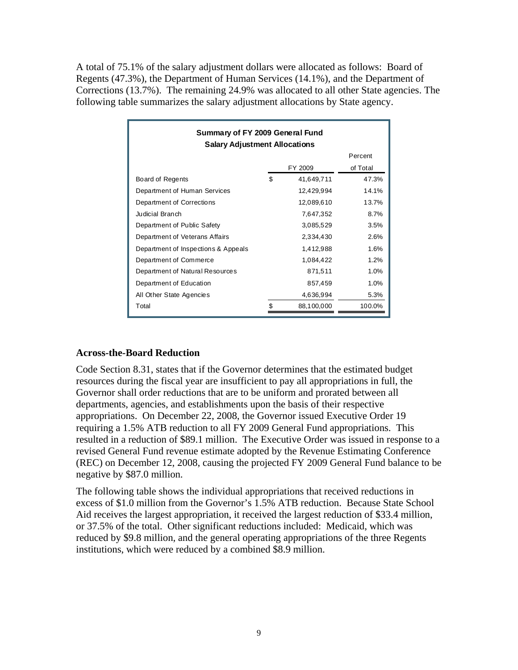A total of 75.1% of the salary adjustment dollars were allocated as follows: Board of Regents (47.3%), the Department of Human Services (14.1%), and the Department of Corrections (13.7%). The remaining 24.9% was allocated to all other State agencies. The following table summarizes the salary adjustment allocations by State agency.

| Summary of FY 2009 General Fund<br><b>Salary Adjustment Allocations</b> |    |            |          |  |  |  |
|-------------------------------------------------------------------------|----|------------|----------|--|--|--|
|                                                                         |    |            | Percent  |  |  |  |
|                                                                         |    | FY 2009    | of Total |  |  |  |
| Board of Regents                                                        | \$ | 41,649,711 | 47.3%    |  |  |  |
| Department of Human Services                                            |    | 12,429,994 | 14.1%    |  |  |  |
| Department of Corrections                                               |    | 12,089,610 | 13.7%    |  |  |  |
| Judicial Branch                                                         |    | 7,647,352  | 8.7%     |  |  |  |
| Department of Public Safety                                             |    | 3,085,529  | 3.5%     |  |  |  |
| Department of Veterans Affairs                                          |    | 2,334,430  | 2.6%     |  |  |  |
| Department of Inspections & Appeals                                     |    | 1,412,988  | 1.6%     |  |  |  |
| Department of Commerce                                                  |    | 1,084,422  | 1.2%     |  |  |  |
| Department of Natural Resources                                         |    | 871,511    | 1.0%     |  |  |  |
| Department of Education                                                 |    | 857,459    | 1.0%     |  |  |  |
| All Other State Agencies                                                |    | 4,636,994  | 5.3%     |  |  |  |
| Total                                                                   |    | 88,100,000 | 100.0%   |  |  |  |

#### **Across-the-Board Reduction**

Code Section 8.31, states that if the Governor determines that the estimated budget resources during the fiscal year are insufficient to pay all appropriations in full, the Governor shall order reductions that are to be uniform and prorated between all departments, agencies, and establishments upon the basis of their respective appropriations. On December 22, 2008, the Governor issued Executive Order 19 requiring a 1.5% ATB reduction to all FY 2009 General Fund appropriations. This resulted in a reduction of \$89.1 million. The Executive Order was issued in response to a revised General Fund revenue estimate adopted by the Revenue Estimating Conference (REC) on December 12, 2008, causing the projected FY 2009 General Fund balance to be negative by \$87.0 million.

The following table shows the individual appropriations that received reductions in excess of \$1.0 million from the Governor's 1.5% ATB reduction. Because State School Aid receives the largest appropriation, it received the largest reduction of \$33.4 million, or 37.5% of the total. Other significant reductions included: Medicaid, which was reduced by \$9.8 million, and the general operating appropriations of the three Regents institutions, which were reduced by a combined \$8.9 million.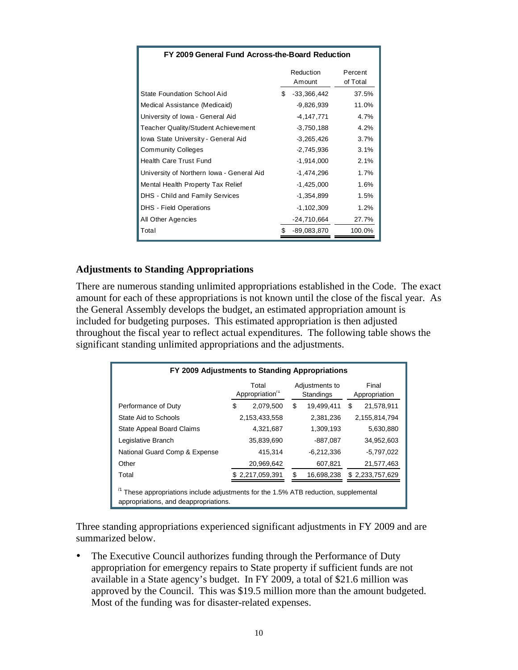| FY 2009 General Fund Across-the-Board Reduction |     |                     |                     |  |
|-------------------------------------------------|-----|---------------------|---------------------|--|
|                                                 |     | Reduction<br>Amount | Percent<br>of Total |  |
| State Foundation School Aid                     | \$. | $-33,366,442$       | 37.5%               |  |
| Medical Assistance (Medicaid)                   |     | $-9,826,939$        | 11.0%               |  |
| University of Iowa - General Aid                |     | -4,147,771          | 4.7%                |  |
| Teacher Quality/Student Achievement             |     | $-3,750,188$        | 4.2%                |  |
| Iowa State University - General Aid             |     | $-3,265,426$        | 3.7%                |  |
| <b>Community Colleges</b>                       |     | $-2,745,936$        | 3.1%                |  |
| <b>Health Care Trust Fund</b>                   |     | $-1,914,000$        | 2.1%                |  |
| University of Northern Iowa - General Aid       |     | $-1,474,296$        | 1.7%                |  |
| Mental Health Property Tax Relief               |     | $-1,425,000$        | 1.6%                |  |
| <b>DHS</b> - Child and Family Services          |     | $-1,354,899$        | 1.5%                |  |
| DHS - Field Operations                          |     | $-1,102,309$        | 1.2%                |  |
| All Other Agencies                              |     | -24,710,664         | 27.7%               |  |
| Total                                           |     | $-89,083,870$       | 100.0%              |  |

#### **Adjustments to Standing Appropriations**

There are numerous standing unlimited appropriations established in the Code. The exact amount for each of these appropriations is not known until the close of the fiscal year. As the General Assembly develops the budget, an estimated appropriation amount is included for budgeting purposes. This estimated appropriation is then adjusted throughout the fiscal year to reflect actual expenditures. The following table shows the significant standing unlimited appropriations and the adjustments.

| FY 2009 Adjustments to Standing Appropriations                                                                             |                         |                             |                 |  |  |
|----------------------------------------------------------------------------------------------------------------------------|-------------------------|-----------------------------|-----------------|--|--|
|                                                                                                                            | Total<br>Appropriation" | Adjustments to<br>Standings |                 |  |  |
| Performance of Duty                                                                                                        | S<br>2,079,500          | \$<br>19,499,411            | S<br>21,578,911 |  |  |
| State Aid to Schools                                                                                                       | 2,153,433,558           | 2.381.236                   | 2,155,814,794   |  |  |
| <b>State Appeal Board Claims</b>                                                                                           | 4,321,687               | 1.309.193                   | 5,630,880       |  |  |
| Legislative Branch                                                                                                         | 35,839,690              | -887,087                    | 34,952,603      |  |  |
| National Guard Comp & Expense                                                                                              | 415,314                 | $-6,212,336$                | $-5,797,022$    |  |  |
| Other                                                                                                                      | 20,969,642              | 607,821                     | 21,577,463      |  |  |
| Total                                                                                                                      | 2,217,059,391           | S<br>16,698,238             | \$2,233,757,629 |  |  |
| These appropriations include adjustments for the 1.5% ATB reduction, supplemental<br>appropriations, and deappropriations. |                         |                             |                 |  |  |

Three standing appropriations experienced significant adjustments in FY 2009 and are summarized below.

 The Executive Council authorizes funding through the Performance of Duty appropriation for emergency repairs to State property if sufficient funds are not available in a State agency's budget. In FY 2009, a total of \$21.6 million was approved by the Council. This was \$19.5 million more than the amount budgeted. Most of the funding was for disaster-related expenses.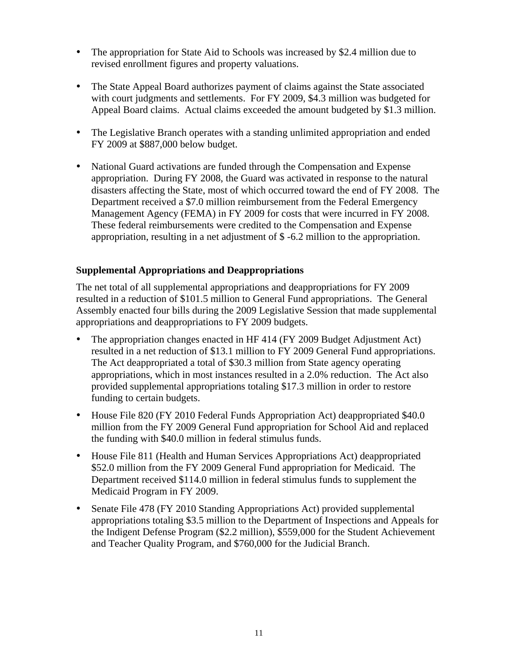- The appropriation for State Aid to Schools was increased by \$2.4 million due to revised enrollment figures and property valuations.
- The State Appeal Board authorizes payment of claims against the State associated with court judgments and settlements. For FY 2009, \$4.3 million was budgeted for Appeal Board claims. Actual claims exceeded the amount budgeted by \$1.3 million.
- The Legislative Branch operates with a standing unlimited appropriation and ended FY 2009 at \$887,000 below budget.
- National Guard activations are funded through the Compensation and Expense appropriation. During FY 2008, the Guard was activated in response to the natural disasters affecting the State, most of which occurred toward the end of FY 2008. The Department received a \$7.0 million reimbursement from the Federal Emergency Management Agency (FEMA) in FY 2009 for costs that were incurred in FY 2008. These federal reimbursements were credited to the Compensation and Expense appropriation, resulting in a net adjustment of \$ -6.2 million to the appropriation.

### **Supplemental Appropriations and Deappropriations**

The net total of all supplemental appropriations and deappropriations for FY 2009 resulted in a reduction of \$101.5 million to General Fund appropriations. The General Assembly enacted four bills during the 2009 Legislative Session that made supplemental appropriations and deappropriations to FY 2009 budgets.

- The appropriation changes enacted in HF 414 (FY 2009 Budget Adjustment Act) resulted in a net reduction of \$13.1 million to FY 2009 General Fund appropriations. The Act deappropriated a total of \$30.3 million from State agency operating appropriations, which in most instances resulted in a 2.0% reduction. The Act also provided supplemental appropriations totaling \$17.3 million in order to restore funding to certain budgets.
- House File 820 (FY 2010 Federal Funds Appropriation Act) deappropriated \$40.0 million from the FY 2009 General Fund appropriation for School Aid and replaced the funding with \$40.0 million in federal stimulus funds.
- House File 811 (Health and Human Services Appropriations Act) deappropriated \$52.0 million from the FY 2009 General Fund appropriation for Medicaid. The Department received \$114.0 million in federal stimulus funds to supplement the Medicaid Program in FY 2009.
- Senate File 478 (FY 2010 Standing Appropriations Act) provided supplemental appropriations totaling \$3.5 million to the Department of Inspections and Appeals for the Indigent Defense Program (\$2.2 million), \$559,000 for the Student Achievement and Teacher Quality Program, and \$760,000 for the Judicial Branch.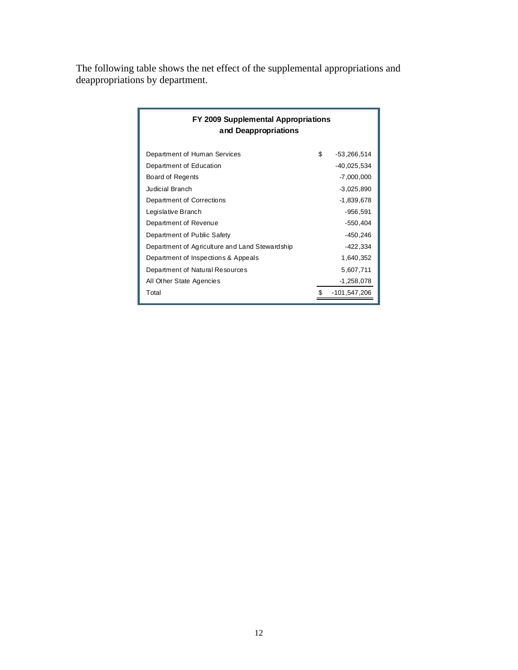The following table shows the net effect of the supplemental appropriations and deappropriations by department.

| FY 2009 Supplemental Appropriations<br>and Deappropriations |    |              |  |  |  |  |
|-------------------------------------------------------------|----|--------------|--|--|--|--|
| Department of Human Services                                | \$ | -53,266,514  |  |  |  |  |
| Department of Education                                     |    | -40,025,534  |  |  |  |  |
| Board of Regents                                            |    | -7,000,000   |  |  |  |  |
| Judicial Branch                                             |    | $-3,025,890$ |  |  |  |  |
| Department of Corrections                                   |    | -1,839,678   |  |  |  |  |
| Legislative Branch                                          |    | -956,591     |  |  |  |  |
| Department of Revenue                                       |    | -550,404     |  |  |  |  |
| Department of Public Safety                                 |    | $-450,246$   |  |  |  |  |
| Department of Agriculture and Land Stewardship              |    | $-422,334$   |  |  |  |  |
| Department of Inspections & Appeals                         |    | 1,640,352    |  |  |  |  |
| Department of Natural Resources                             |    | 5,607,711    |  |  |  |  |
| All Other State Agencies                                    |    | $-1,258,078$ |  |  |  |  |
| Total                                                       |    | -101,547,206 |  |  |  |  |
|                                                             |    |              |  |  |  |  |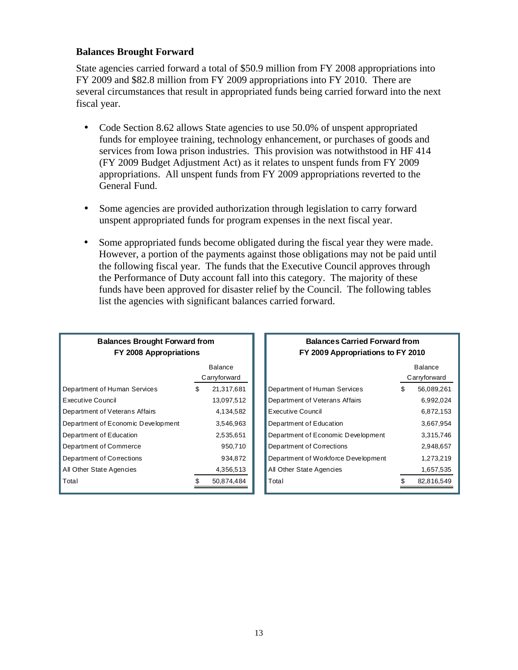#### **Balances Brought Forward**

State agencies carried forward a total of \$50.9 million from FY 2008 appropriations into FY 2009 and \$82.8 million from FY 2009 appropriations into FY 2010. There are several circumstances that result in appropriated funds being carried forward into the next fiscal year.

- Code Section 8.62 allows State agencies to use 50.0% of unspent appropriated funds for employee training, technology enhancement, or purchases of goods and services from Iowa prison industries. This provision was notwithstood in HF 414 (FY 2009 Budget Adjustment Act) as it relates to unspent funds from FY 2009 appropriations. All unspent funds from FY 2009 appropriations reverted to the General Fund.
- Some agencies are provided authorization through legislation to carry forward unspent appropriated funds for program expenses in the next fiscal year.
- Some appropriated funds become obligated during the fiscal year they were made. However, a portion of the payments against those obligations may not be paid until the following fiscal year. The funds that the Executive Council approves through the Performance of Duty account fall into this category. The majority of these funds have been approved for disaster relief by the Council. The following tables list the agencies with significant balances carried forward.

| <b>Balances Brought Forward from</b><br>FY 2008 Appropriations |    |                |  |  |  |
|----------------------------------------------------------------|----|----------------|--|--|--|
|                                                                |    | <b>Balance</b> |  |  |  |
|                                                                |    | Carryforward   |  |  |  |
| Department of Human Services                                   | \$ | 21,317,681     |  |  |  |
| Executive Council                                              |    | 13,097,512     |  |  |  |
| Department of Veterans Affairs                                 |    | 4,134,582      |  |  |  |
| Department of Economic Development                             |    | 3,546,963      |  |  |  |
| Department of Education                                        |    | 2,535,651      |  |  |  |
| Department of Commerce                                         |    | 950,710        |  |  |  |
| Department of Corrections                                      |    | 934,872        |  |  |  |
| All Other State Agencies                                       |    | 4,356,513      |  |  |  |
| Total                                                          |    | 50.874.484     |  |  |  |

#### **Balances Carried Forward from FY 2009 Appropriations to FY 2010**

|                                     |   | Balance<br>Carryforward |
|-------------------------------------|---|-------------------------|
| Department of Human Services        | S | 56.089.261              |
| Department of Veterans Affairs      |   | 6.992.024               |
| Executive Council                   |   | 6,872,153               |
| Department of Education             |   | 3.667.954               |
| Department of Economic Development  |   | 3.315.746               |
| Department of Corrections           |   | 2,948,657               |
| Department of Workforce Development |   | 1.273.219               |
| All Other State Agencies            |   | 1,657,535               |
| Total                               |   | 82,816,549              |
|                                     |   |                         |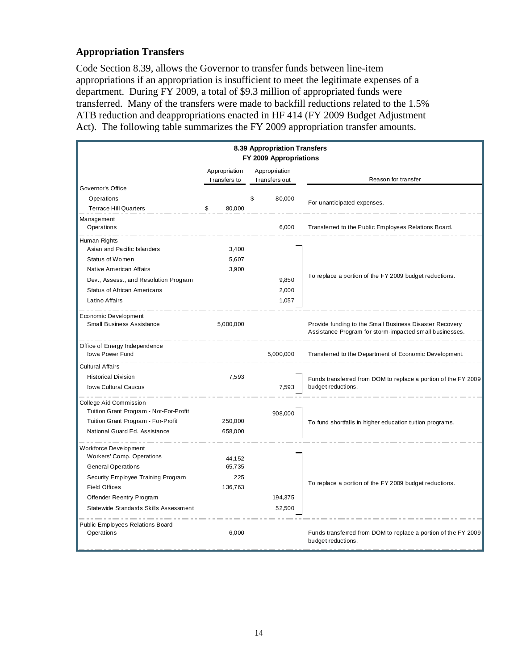### **Appropriation Transfers**

Code Section 8.39, allows the Governor to transfer funds between line-item appropriations if an appropriation is insufficient to meet the legitimate expenses of a department. During FY 2009, a total of \$9.3 million of appropriated funds were transferred. Many of the transfers were made to backfill reductions related to the 1.5% ATB reduction and deappropriations enacted in HF 414 (FY 2009 Budget Adjustment Act). The following table summarizes the FY 2009 appropriation transfer amounts.

| 8.39 Appropriation Transfers<br>FY 2009 Appropriations                                                                                  |                               |    |                                |                                                                                                                    |  |  |
|-----------------------------------------------------------------------------------------------------------------------------------------|-------------------------------|----|--------------------------------|--------------------------------------------------------------------------------------------------------------------|--|--|
|                                                                                                                                         | Appropriation<br>Transfers to |    | Appropriation<br>Transfers out | Reason for transfer                                                                                                |  |  |
| Governor's Office                                                                                                                       |                               |    |                                |                                                                                                                    |  |  |
| Operations                                                                                                                              |                               | \$ | 80,000                         | For unanticipated expenses.                                                                                        |  |  |
| <b>Terrace Hill Quarters</b>                                                                                                            | \$<br>80,000                  |    |                                |                                                                                                                    |  |  |
| Management<br>Operations                                                                                                                |                               |    | 6,000                          | Transferred to the Public Employees Relations Board.                                                               |  |  |
| Human Rights                                                                                                                            |                               |    |                                |                                                                                                                    |  |  |
| Asian and Pacific Islanders                                                                                                             | 3,400                         |    |                                |                                                                                                                    |  |  |
| Status of Women                                                                                                                         | 5,607                         |    |                                |                                                                                                                    |  |  |
| Native American Affairs                                                                                                                 | 3,900                         |    |                                |                                                                                                                    |  |  |
| Dev., Assess., and Resolution Program                                                                                                   |                               |    | 9,850                          | To replace a portion of the FY 2009 budget reductions.                                                             |  |  |
| <b>Status of African Americans</b>                                                                                                      |                               |    | 2,000                          |                                                                                                                    |  |  |
| Latino Affairs                                                                                                                          |                               |    | 1,057                          |                                                                                                                    |  |  |
| Economic Development<br>Small Business Assistance                                                                                       | 5,000,000                     |    |                                | Provide funding to the Small Business Disaster Recovery<br>Assistance Program for storm-impacted small businesses. |  |  |
| Office of Energy Independence<br>Iowa Power Fund                                                                                        |                               |    | 5,000,000                      | Transferred to the Department of Economic Development.                                                             |  |  |
| <b>Cultural Affairs</b>                                                                                                                 |                               |    |                                |                                                                                                                    |  |  |
| <b>Historical Division</b>                                                                                                              | 7,593                         |    |                                | Funds transferred from DOM to replace a portion of the FY 2009                                                     |  |  |
| <b>Iowa Cultural Caucus</b>                                                                                                             |                               |    | 7,593                          | budget reductions.                                                                                                 |  |  |
| College Aid Commission<br>Tuition Grant Program - Not-For-Profit<br>Tuition Grant Program - For-Profit<br>National Guard Ed. Assistance | 250,000<br>658,000            |    | 908,000                        | To fund shortfalls in higher education tuition programs.                                                           |  |  |
|                                                                                                                                         |                               |    |                                |                                                                                                                    |  |  |
| Workforce Development<br>Workers' Comp. Operations<br>General Operations                                                                | 44,152<br>65.735              |    |                                |                                                                                                                    |  |  |
| Security Employee Training Program                                                                                                      | 225                           |    |                                |                                                                                                                    |  |  |
| <b>Field Offices</b>                                                                                                                    | 136,763                       |    |                                | To replace a portion of the FY 2009 budget reductions.                                                             |  |  |
| Offender Reentry Program                                                                                                                |                               |    | 194,375                        |                                                                                                                    |  |  |
| Statewide Standards Skills Assessment                                                                                                   |                               |    | 52,500                         |                                                                                                                    |  |  |
| Public Employees Relations Board<br>Operations                                                                                          | 6,000                         |    |                                | Funds transferred from DOM to replace a portion of the FY 2009<br>budget reductions.                               |  |  |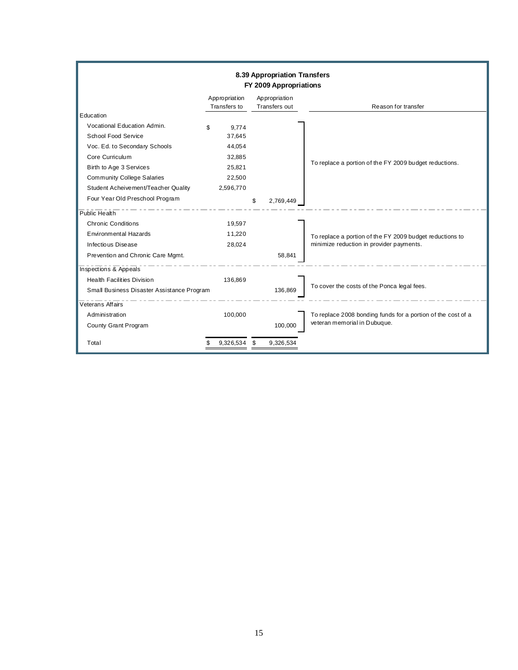|                                            |                               | 8.39 Appropriation Transfers<br>FY 2009 Appropriations |                                                              |
|--------------------------------------------|-------------------------------|--------------------------------------------------------|--------------------------------------------------------------|
|                                            | Appropriation<br>Transfers to | Appropriation<br>Transfers out                         | Reason for transfer                                          |
| Education                                  |                               |                                                        |                                                              |
| Vocational Education Admin.                | 9,774<br>\$                   |                                                        |                                                              |
| School Food Service                        | 37,645                        |                                                        |                                                              |
| Voc. Ed. to Secondary Schools              | 44,054                        |                                                        |                                                              |
| Core Curriculum                            | 32,885                        |                                                        |                                                              |
| Birth to Age 3 Services                    | 25,821                        |                                                        | To replace a portion of the FY 2009 budget reductions.       |
| <b>Community College Salaries</b>          | 22,500                        |                                                        |                                                              |
| Student Acheivement/Teacher Quality        | 2,596,770                     |                                                        |                                                              |
| Four Year Old Preschool Program            |                               | 2,769,449<br>S                                         |                                                              |
| Public Health                              |                               |                                                        |                                                              |
| <b>Chronic Conditions</b>                  | 19.597                        |                                                        |                                                              |
| <b>Environmental Hazards</b>               | 11,220                        |                                                        | To replace a portion of the FY 2009 budget reductions to     |
| Infectious Disease                         | 28,024                        |                                                        | minimize reduction in provider payments.                     |
| Prevention and Chronic Care Mgmt.          |                               | 58,841                                                 |                                                              |
| Inspections & Appeals                      |                               |                                                        |                                                              |
| <b>Health Facilities Division</b>          | 136,869                       |                                                        | To cover the costs of the Ponca legal fees.                  |
| Small Business Disaster Assistance Program |                               | 136.869                                                |                                                              |
| <b>Veterans Affairs</b>                    |                               |                                                        |                                                              |
| Administration                             | 100,000                       |                                                        | To replace 2008 bonding funds for a portion of the cost of a |
| County Grant Program                       |                               | 100,000                                                | veteran memorial in Dubuque.                                 |
| Total                                      | 9,326,534                     | S<br>9,326,534                                         |                                                              |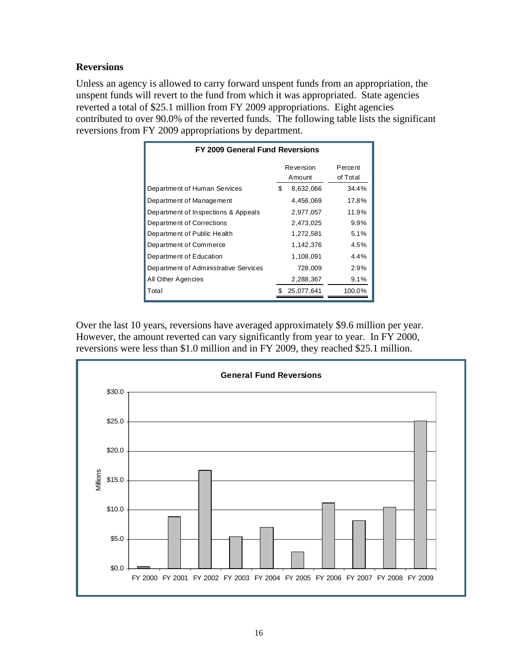### **Reversions**

Unless an agency is allowed to carry forward unspent funds from an appropriation, the unspent funds will revert to the fund from which it was appropriated. State agencies reverted a total of \$25.1 million from FY 2009 appropriations. Eight agencies contributed to over 90.0% of the reverted funds. The following table lists the significant reversions from FY 2009 appropriations by department.

| FY 2009 General Fund Reversions       |                     |            |                     |  |  |  |  |  |
|---------------------------------------|---------------------|------------|---------------------|--|--|--|--|--|
|                                       | Reversion<br>Amount |            | Percent<br>of Total |  |  |  |  |  |
| Department of Human Services          | \$                  | 8,632,066  | 34.4%               |  |  |  |  |  |
| Department of Management              |                     | 4,456,069  | 17.8%               |  |  |  |  |  |
| Department of Inspections & Appeals   |                     | 2,977,057  | 11.9%               |  |  |  |  |  |
| Department of Corrections             |                     | 2,473,025  | 9.9%                |  |  |  |  |  |
| Department of Public Health           |                     | 1,272,581  | 5.1%                |  |  |  |  |  |
| Department of Commerce                |                     | 1,142,376  | 4.5%                |  |  |  |  |  |
| Department of Education               |                     | 1,108,091  | 4.4%                |  |  |  |  |  |
| Department of Administrative Services |                     | 728,009    | 2.9%                |  |  |  |  |  |
| All Other Agencies                    |                     | 2,288,367  | 9.1%                |  |  |  |  |  |
| Total                                 |                     | 25.077.641 | 100.0%              |  |  |  |  |  |

Over the last 10 years, reversions have averaged approximately \$9.6 million per year. However, the amount reverted can vary significantly from year to year. In FY 2000, reversions were less than \$1.0 million and in FY 2009, they reached \$25.1 million.

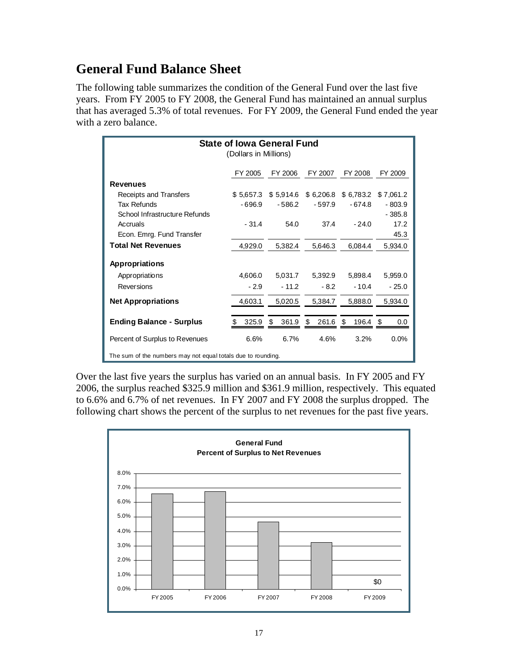# **General Fund Balance Sheet**

The following table summarizes the condition of the General Fund over the last five years. From FY 2005 to FY 2008, the General Fund has maintained an annual surplus that has averaged 5.3% of total revenues. For FY 2009, the General Fund ended the year with a zero balance.

| <b>State of Iowa General Fund</b><br>(Dollars in Millions)   |           |             |                |           |           |  |  |  |
|--------------------------------------------------------------|-----------|-------------|----------------|-----------|-----------|--|--|--|
|                                                              | FY 2005   | FY 2006     | FY 2007        | FY 2008   | FY 2009   |  |  |  |
| <b>Revenues</b>                                              |           |             |                |           |           |  |  |  |
| Receipts and Transfers                                       | \$5,657.3 | \$5,914.6   | \$6,206.8      | \$6,783.2 | \$7,061.2 |  |  |  |
| Tax Refunds                                                  | $-696.9$  | $-586.2$    | $-597.9$       | $-674.8$  | $-803.9$  |  |  |  |
| School Infrastructure Refunds                                |           |             |                |           | $-385.8$  |  |  |  |
| Accruals                                                     | $-31.4$   | 54.0        | 37.4           | $-24.0$   | 17.2      |  |  |  |
| Econ. Emrg. Fund Transfer                                    |           |             |                |           | 45.3      |  |  |  |
| <b>Total Net Revenues</b>                                    | 4,929.0   | 5,382.4     | 5,646.3        | 6,084.4   | 5,934.0   |  |  |  |
| Appropriations                                               |           |             |                |           |           |  |  |  |
| Appropriations                                               | 4,606.0   | 5,031.7     | 5,392.9        | 5,898.4   | 5,959.0   |  |  |  |
| Reversions                                                   | $-2.9$    | $-11.2$     | $-8.2$         | $-10.4$   | $-25.0$   |  |  |  |
| <b>Net Appropriations</b>                                    | 4,603.1   | 5,020.5     | 5,384.7        | 5,888.0   | 5,934.0   |  |  |  |
| <b>Ending Balance - Surplus</b>                              | 325.9     | 361.9<br>\$ | 261.6 \$<br>S. | 196.4 \$  | 0.0       |  |  |  |
| Percent of Surplus to Revenues                               | 6.6%      | 6.7%        | 4.6%           | 3.2%      | 0.0%      |  |  |  |
| The sum of the numbers may not equal totals due to rounding. |           |             |                |           |           |  |  |  |

Over the last five years the surplus has varied on an annual basis. In FY 2005 and FY 2006, the surplus reached \$325.9 million and \$361.9 million, respectively. This equated to 6.6% and 6.7% of net revenues. In FY 2007 and FY 2008 the surplus dropped. The following chart shows the percent of the surplus to net revenues for the past five years.